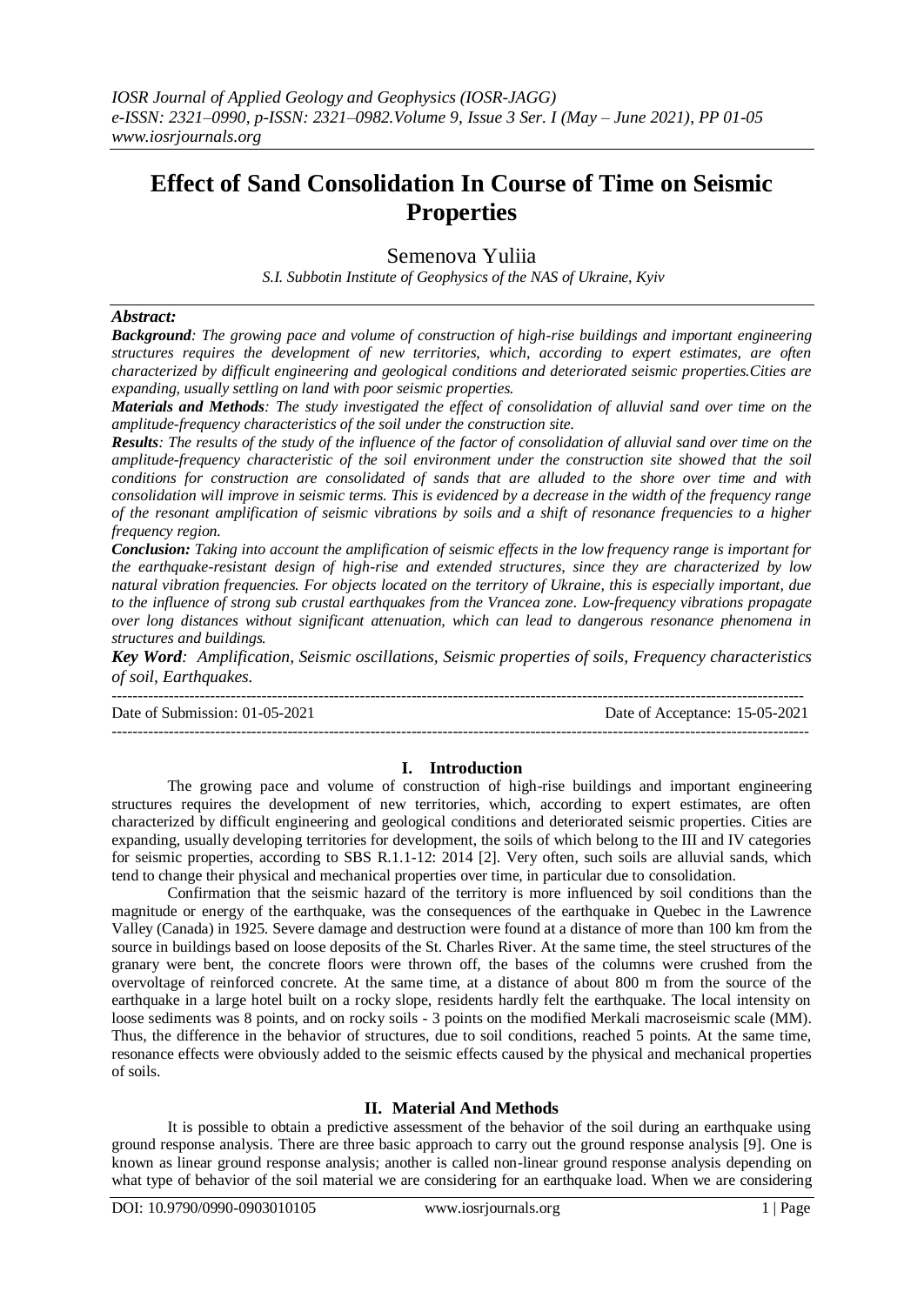# **Effect of Sand Consolidation In Course of Time on Seismic Properties**

Semenova Yuliia

*S.I. Subbotin Institute of Geophysics of the NAS of Ukraine, Kyiv*

## *Abstract:*

*Background: The growing pace and volume of construction of high-rise buildings and important engineering structures requires the development of new territories, which, according to expert estimates, are often characterized by difficult engineering and geological conditions and deteriorated seismic properties.Cities are expanding, usually settling on land with poor seismic properties.*

*Materials and Methods: The study investigated the effect of consolidation of alluvial sand over time on the amplitude-frequency characteristics of the soil under the construction site.*

*Results: The results of the study of the influence of the factor of consolidation of alluvial sand over time on the amplitude-frequency characteristic of the soil environment under the construction site showed that the soil conditions for construction are consolidated of sands that are alluded to the shore over time and with consolidation will improve in seismic terms. This is evidenced by a decrease in the width of the frequency range of the resonant amplification of seismic vibrations by soils and a shift of resonance frequencies to a higher frequency region.*

*Conclusion: Taking into account the amplification of seismic effects in the low frequency range is important for the earthquake-resistant design of high-rise and extended structures, since they are characterized by low natural vibration frequencies. For objects located on the territory of Ukraine, this is especially important, due to the influence of strong sub crustal earthquakes from the Vrancea zone. Low-frequency vibrations propagate over long distances without significant attenuation, which can lead to dangerous resonance phenomena in structures and buildings.*

*Key Word: Amplification, Seismic oscillations, Seismic properties of soils, Frequency characteristics of soil, Earthquakes.*

| Date of Submission: 01-05-2021 |  |
|--------------------------------|--|
|--------------------------------|--|

Date of Acceptance: 15-05-2021

## **I. Introduction**

---------------------------------------------------------------------------------------------------------------------------------------

The growing pace and volume of construction of high-rise buildings and important engineering structures requires the development of new territories, which, according to expert estimates, are often characterized by difficult engineering and geological conditions and deteriorated seismic properties. Cities are expanding, usually developing territories for development, the soils of which belong to the III and IV categories for seismic properties, according to SBS R.1.1-12: 2014 [2]. Very often, such soils are alluvial sands, which tend to change their physical and mechanical properties over time, in particular due to consolidation.

Confirmation that the seismic hazard of the territory is more influenced by soil conditions than the magnitude or energy of the earthquake, was the consequences of the earthquake in Quebec in the Lawrence Valley (Canada) in 1925. Severe damage and destruction were found at a distance of more than 100 km from the source in buildings based on loose deposits of the St. Charles River. At the same time, the steel structures of the granary were bent, the concrete floors were thrown off, the bases of the columns were crushed from the overvoltage of reinforced concrete. At the same time, at a distance of about 800 m from the source of the earthquake in a large hotel built on a rocky slope, residents hardly felt the earthquake. The local intensity on loose sediments was 8 points, and on rocky soils - 3 points on the modified Merkali macroseismic scale (MM). Thus, the difference in the behavior of structures, due to soil conditions, reached 5 points. At the same time, resonance effects were obviously added to the seismic effects caused by the physical and mechanical properties of soils.

## **II. Material And Methods**

It is possible to obtain a predictive assessment of the behavior of the soil during an earthquake using ground response analysis. There are three basic approach to carry out the ground response analysis [9]. One is known as linear ground response analysis; another is called non-linear ground response analysis depending on what type of behavior of the soil material we are considering for an earthquake load. When we are considering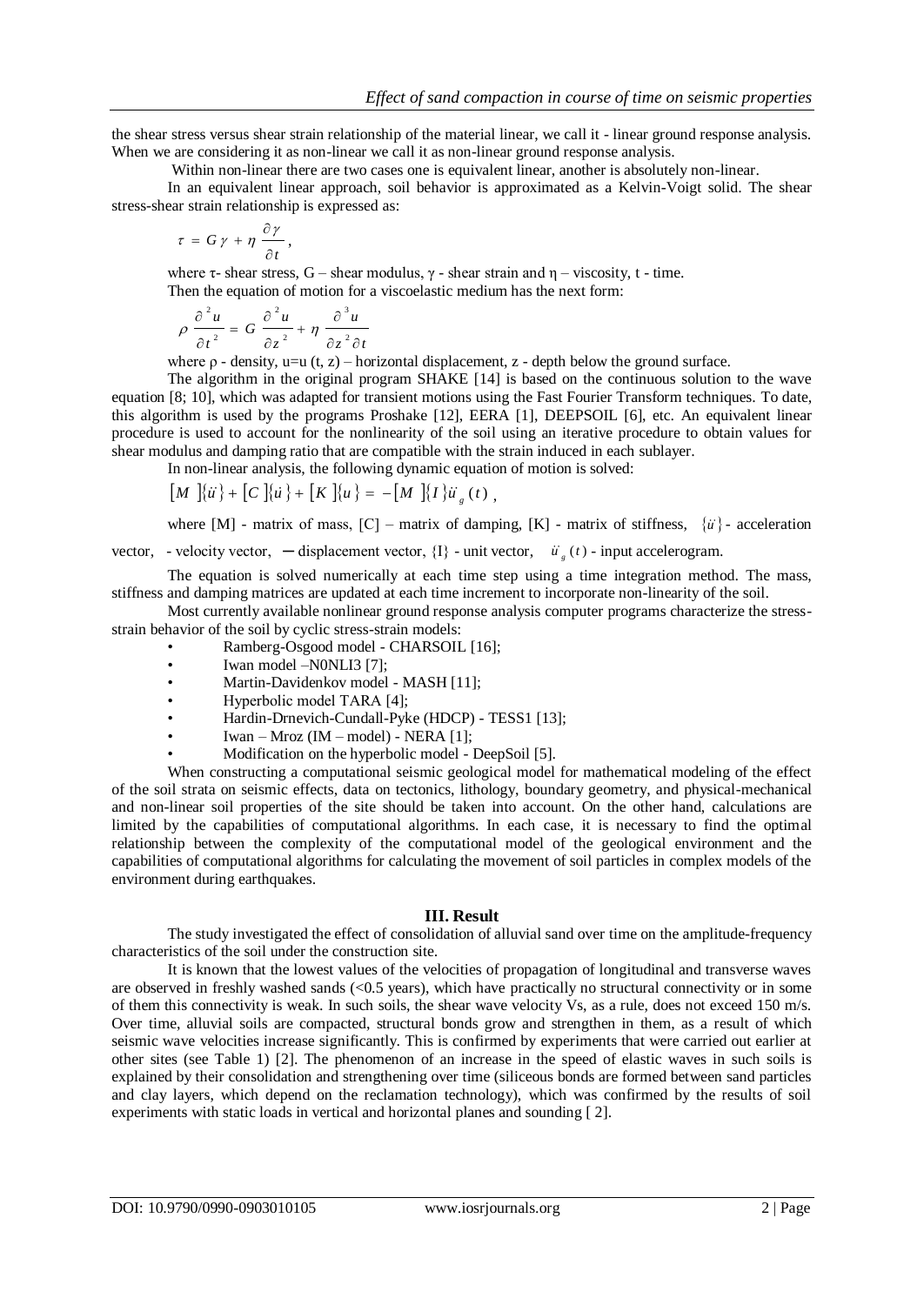the shear stress versus shear strain relationship of the material linear, we call it - linear ground response analysis. When we are considering it as non-linear we call it as non-linear ground response analysis.

Within non-linear there are two cases one is equivalent linear, another is absolutely non-linear.

In an equivalent linear approach, soil behavior is approximated as a Kelvin-Voigt solid. The shear stress-shear strain relationship is expressed as:

$$
\tau = G\,\gamma + \eta\,\frac{\partial\,\gamma}{\partial\,t}\,,
$$

where τ- shear stress,  $G$  – shear modulus,  $γ$  - shear strain and  $η$  – viscosity, t - time. Then the equation of motion for a viscoelastic medium has the next form:

$$
\rho \frac{\partial^2 u}{\partial t^2} = G \frac{\partial^2 u}{\partial z^2} + \eta \frac{\partial^3 u}{\partial z^2 \partial t}
$$

where  $\rho$  - density, u=u (t, z) – horizontal displacement, z - depth below the ground surface.

The algorithm in the original program SHAKE [14] is based on the continuous solution to the wave equation [8; 10], which was adapted for transient motions using the Fast Fourier Transform techniques. To date, this algorithm is used by the programs Proshake [12], EERA [1], DEEPSOIL [6], etc. An equivalent linear procedure is used to account for the nonlinearity of the soil using an iterative procedure to obtain values for shear modulus and damping ratio that are compatible with the strain induced in each sublayer.

In non-linear analysis, the following dynamic equation of motion is solved:

$$
[M] {\{ii\}} + [C] {\{ii\}} + [K] {\{u\}} = -[M] {\{I\}} {iig (t),
$$

where [M] - matrix of mass,  $[C]$  – matrix of damping,  $[K]$  - matrix of stiffness,  $\{ii\}$  - acceleration vector, - velocity vector,  $-\text{displacement vector}, \{I\}$  - unit vector,  $\mathcal{U}_g(t)$  - input accelerogram.

The equation is solved numerically at each time step using a time integration method. The mass,

stiffness and damping matrices are updated at each time increment to incorporate non-linearity of the soil.

Most currently available nonlinear ground response analysis computer programs characterize the stressstrain behavior of the soil by cyclic stress-strain models:

• Ramberg-Osgood model - CHARSOIL [16];

- Iwan model –N0NLI3 [7];
- Martin-Davidenkov model MASH [11];
- Hyperbolic model ТАRА [4];
- Hardin-Drnevich-Cundall-Pyke (HDCP) TESS1 [13];
- Iwan Mroz (IM model) NERA [1];
- Modification on the hyperbolic model DeepSoil [5].

When constructing a computational seismic geological model for mathematical modeling of the effect of the soil strata on seismic effects, data on tectonics, lithology, boundary geometry, and physical-mechanical and non-linear soil properties of the site should be taken into account. On the other hand, calculations are limited by the capabilities of computational algorithms. In each case, it is necessary to find the optimal relationship between the complexity of the computational model of the geological environment and the capabilities of computational algorithms for calculating the movement of soil particles in complex models of the environment during earthquakes.

#### **III. Result**

The study investigated the effect of consolidation of alluvial sand over time on the amplitude-frequency characteristics of the soil under the construction site.

It is known that the lowest values of the velocities of propagation of longitudinal and transverse waves are observed in freshly washed sands (<0.5 years), which have practically no structural connectivity or in some of them this connectivity is weak. In such soils, the shear wave velocity Vs, as a rule, does not exceed 150 m/s. Over time, alluvial soils are compacted, structural bonds grow and strengthen in them, as a result of which seismic wave velocities increase significantly. This is confirmed by experiments that were carried out earlier at other sites (see Table 1) [2]. The phenomenon of an increase in the speed of elastic waves in such soils is explained by their consolidation and strengthening over time (siliceous bonds are formed between sand particles and clay layers, which depend on the reclamation technology), which was confirmed by the results of soil experiments with static loads in vertical and horizontal planes and sounding [ 2].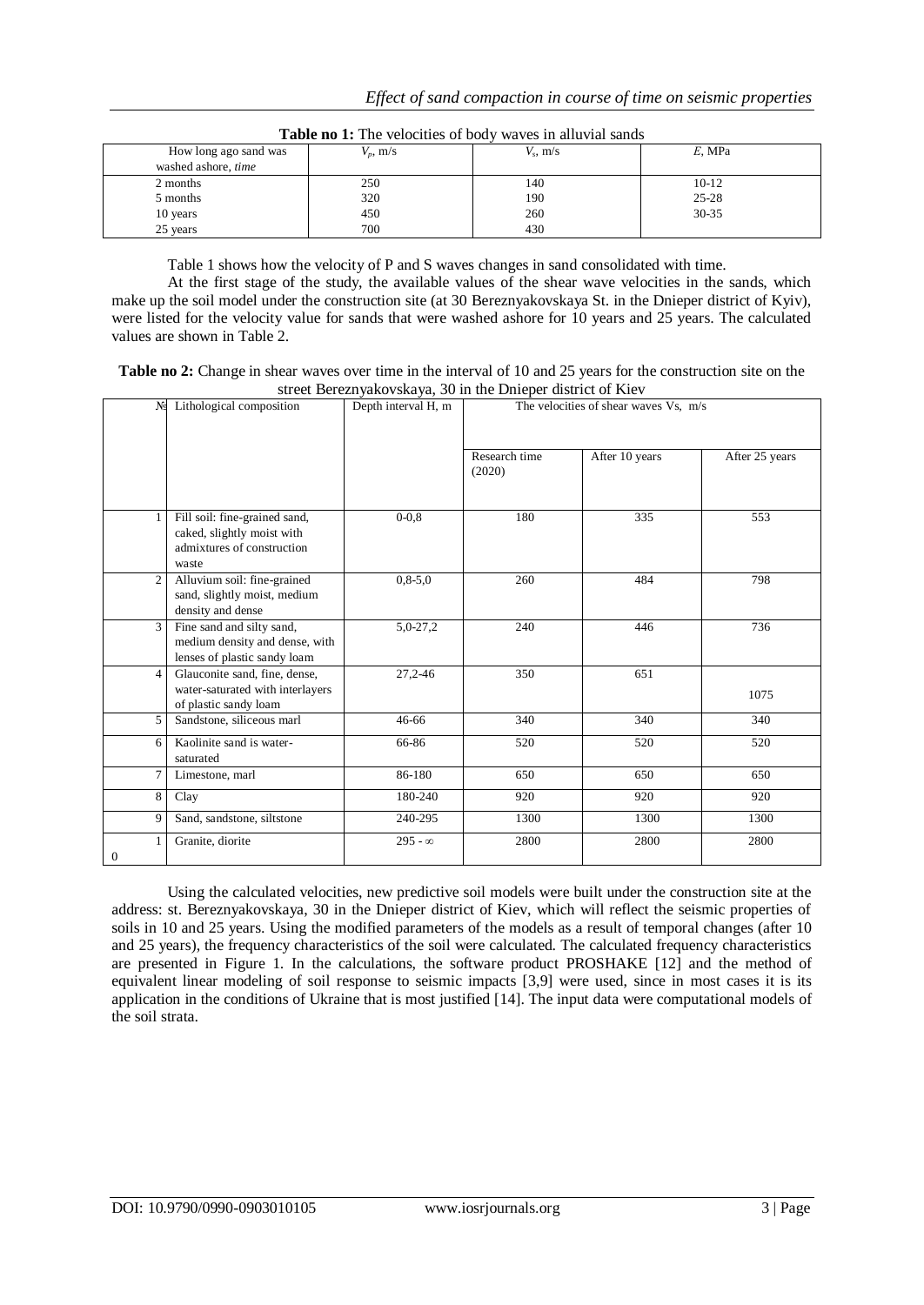| $-$ 0.0 $-$ 0.0 $-$ 0.0 $-$ 0.0 $-$ 0.0 $-$ 0.0 $-$ 0.0 $-$ 0.0 $-$ 0.0 $-$ 0.0 $-$ 0.0 $-$ 0.0 $-$ 0.0 $-$ 0.0 $-$ 0.0 $-$ 0.0 $-$ 0.0 $-$ 0.0 $-$ 0.0 $-$ 0.0 $-$ 0.0 $-$ 0.0 $-$ 0.0 $-$ 0.0 $-$ 0.0 $-$ 0.0 $-$ 0.0 $-$ 0 |             |             |           |  |  |  |  |  |
|-------------------------------------------------------------------------------------------------------------------------------------------------------------------------------------------------------------------------------|-------------|-------------|-----------|--|--|--|--|--|
| How long ago sand was                                                                                                                                                                                                         | $V_p$ , m/s | $V_s$ , m/s | $E$ , MPa |  |  |  |  |  |
| washed ashore, time                                                                                                                                                                                                           |             |             |           |  |  |  |  |  |
| 2 months                                                                                                                                                                                                                      | 250         | 140         | $10-12$   |  |  |  |  |  |
| 5 months                                                                                                                                                                                                                      | 320         | 190         | 25-28     |  |  |  |  |  |
| 10 years                                                                                                                                                                                                                      | 450         | 260         | 30-35     |  |  |  |  |  |
| 25 years                                                                                                                                                                                                                      | 700         | 430         |           |  |  |  |  |  |

**Table no 1:** The velocities of body waves in alluvial sands

Table 1 shows how the velocity of P and S waves changes in sand consolidated with time.

At the first stage of the study, the available values of the shear wave velocities in the sands, which make up the soil model under the construction site (at 30 Bereznyakovskaya St. in the Dnieper district of Kyiv), were listed for the velocity value for sands that were washed ashore for 10 years and 25 years. The calculated values are shown in Table 2.

| Table no 2: Change in shear waves over time in the interval of 10 and 25 years for the construction site on the |
|-----------------------------------------------------------------------------------------------------------------|
| street Bereznyakovskaya, 30 in the Dnieper district of Kiev                                                     |

| N <sub>S</sub> | Lithological composition                                                                           | Depth interval H, m | The velocities of shear waves Vs, m/s |                |                |
|----------------|----------------------------------------------------------------------------------------------------|---------------------|---------------------------------------|----------------|----------------|
|                |                                                                                                    |                     | Research time<br>(2020)               | After 10 years | After 25 years |
|                | Fill soil: fine-grained sand,<br>caked, slightly moist with<br>admixtures of construction<br>waste | $0 - 0.8$           | 180                                   | 335            | 553            |
| 2              | Alluvium soil: fine-grained<br>sand, slightly moist, medium<br>density and dense                   | $0,8-5,0$           | 260                                   | 484            | 798            |
| 3              | Fine sand and silty sand,<br>medium density and dense, with<br>lenses of plastic sandy loam        | 5,0-27,2            | 240                                   | 446            | 736            |
| 4              | Glauconite sand, fine, dense,<br>water-saturated with interlayers<br>of plastic sandy loam         | 27,2-46             | 350                                   | 651            | 1075           |
| 5              | Sandstone, siliceous marl                                                                          | 46-66               | 340                                   | 340            | 340            |
| 6              | Kaolinite sand is water-<br>saturated                                                              | 66-86               | 520                                   | 520            | 520            |
| $\overline{7}$ | Limestone, marl                                                                                    | 86-180              | 650                                   | 650            | 650            |
| 8              | Clay                                                                                               | 180-240             | 920                                   | 920            | 920            |
| 9              | Sand, sandstone, siltstone                                                                         | 240-295             | 1300                                  | 1300           | 1300           |
| $\overline{0}$ | Granite, diorite                                                                                   | $295 - \infty$      | 2800                                  | 2800           | 2800           |

Using the calculated velocities, new predictive soil models were built under the construction site at the address: st. Bereznyakovskaya, 30 in the Dnieper district of Kiev, which will reflect the seismic properties of soils in 10 and 25 years. Using the modified parameters of the models as a result of temporal changes (after 10 and 25 years), the frequency characteristics of the soil were calculated. The calculated frequency characteristics are presented in Figure 1. In the calculations, the software product PROSHAKE [12] and the method of equivalent linear modeling of soil response to seismic impacts [3,9] were used, since in most cases it is its application in the conditions of Ukraine that is most justified [14]. The input data were computational models of the soil strata.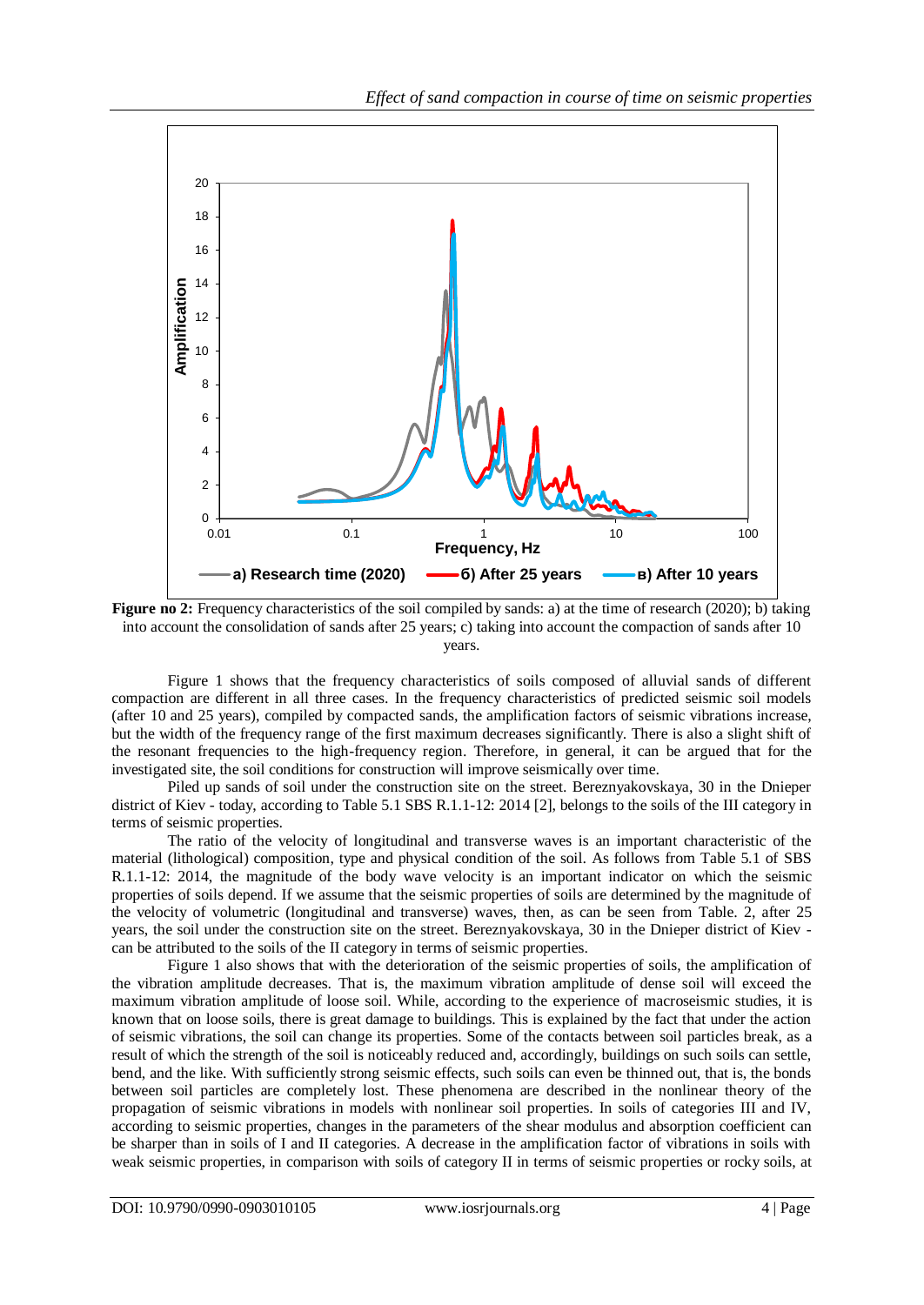

**Figure no 2:** Frequency characteristics of the soil compiled by sands: a) at the time of research (2020); b) taking into account the consolidation of sands after 25 years; c) taking into account the compaction of sands after 10 years.

Figure 1 shows that the frequency characteristics of soils composed of alluvial sands of different compaction are different in all three cases. In the frequency characteristics of predicted seismic soil models (after 10 and 25 years), compiled by compacted sands, the amplification factors of seismic vibrations increase, but the width of the frequency range of the first maximum decreases significantly. There is also a slight shift of the resonant frequencies to the high-frequency region. Therefore, in general, it can be argued that for the investigated site, the soil conditions for construction will improve seismically over time.

Piled up sands of soil under the construction site on the street. Bereznyakovskaya, 30 in the Dnieper district of Kiev - today, according to Table 5.1 SBS R.1.1-12: 2014 [2], belongs to the soils of the III category in terms of seismic properties.

The ratio of the velocity of longitudinal and transverse waves is an important characteristic of the material (lithological) composition, type and physical condition of the soil. As follows from Table 5.1 of SBS R.1.1-12: 2014, the magnitude of the body wave velocity is an important indicator on which the seismic properties of soils depend. If we assume that the seismic properties of soils are determined by the magnitude of the velocity of volumetric (longitudinal and transverse) waves, then, as can be seen from Table. 2, after 25 years, the soil under the construction site on the street. Bereznyakovskaya, 30 in the Dnieper district of Kiev can be attributed to the soils of the II category in terms of seismic properties.

Figure 1 also shows that with the deterioration of the seismic properties of soils, the amplification of the vibration amplitude decreases. That is, the maximum vibration amplitude of dense soil will exceed the maximum vibration amplitude of loose soil. While, according to the experience of macroseismic studies, it is known that on loose soils, there is great damage to buildings. This is explained by the fact that under the action of seismic vibrations, the soil can change its properties. Some of the contacts between soil particles break, as a result of which the strength of the soil is noticeably reduced and, accordingly, buildings on such soils can settle, bend, and the like. With sufficiently strong seismic effects, such soils can even be thinned out, that is, the bonds between soil particles are completely lost. These phenomena are described in the nonlinear theory of the propagation of seismic vibrations in models with nonlinear soil properties. In soils of categories III and IV, according to seismic properties, changes in the parameters of the shear modulus and absorption coefficient can be sharper than in soils of I and II categories. A decrease in the amplification factor of vibrations in soils with weak seismic properties, in comparison with soils of category II in terms of seismic properties or rocky soils, at